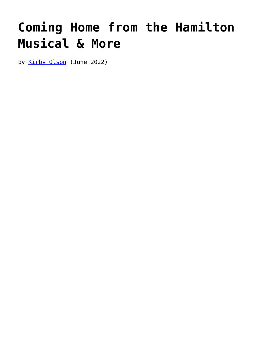## **[Coming Home from the Hamilton](https://www.newenglishreview.org/articles/41431-2/) [Musical & More](https://www.newenglishreview.org/articles/41431-2/)**

by [Kirby Olson](https://www.newenglishreview.org/authors/kirby-olson/?) (June 2022)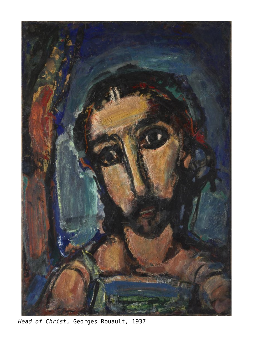

*Head of Christ*, Georges Rouault, 1937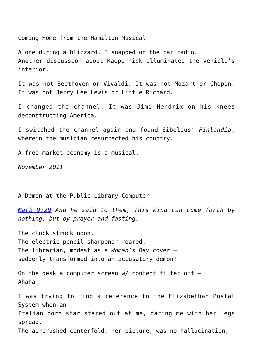Coming Home from the Hamilton Musical

Alone during a blizzard, I snapped on the car radio. Another discussion about Kaepernick illuminated the vehicle's interior.

It was not Beethoven or Vivaldi. It was not Mozart or Chopin. It was not Jerry Lee Lewis or Little Richard.

I changed the channel. It was Jimi Hendrix on his knees deconstructing America.

I switched the channel again and found Sibelius' *Finlandia*, wherein the musician resurrected his country.

A free market economy is a musical.

*November 2011*

A Demon at the Public Library Computer

*[Mark 9:29](http://www.godvine.com/bible/mark/9-29) And he said to them, This kind can come forth by nothing, but by prayer and fasting.*

The clock struck noon. The electric pencil sharpener roared. The librarian, modest as a *Woman's Day* cover – suddenly transformed into an accusatory demon!

On the desk a computer screen  $w/$  content filter off  $-$ Ahaha!

I was trying to find a reference to the Elizabethan Postal System when an Italian porn star stared out at me, daring me with her legs spread. The airbrushed centerfold, her picture, was no hallucination,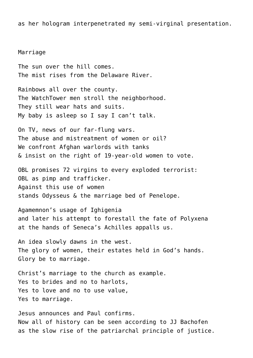as her hologram interpenetrated my semi-virginal presentation.

Marriage

The sun over the hill comes. The mist rises from the Delaware River.

Rainbows all over the county. The WatchTower men stroll the neighborhood. They still wear hats and suits. My baby is asleep so I say I can't talk.

On TV, news of our far-flung wars. The abuse and mistreatment of women or oil? We confront Afghan warlords with tanks & insist on the right of 19-year-old women to vote.

OBL promises 72 virgins to every exploded terrorist: OBL as pimp and trafficker. Against this use of women stands Odysseus & the marriage bed of Penelope.

Agamemnon's usage of Ighigenia and later his attempt to forestall the fate of Polyxena at the hands of Seneca's Achilles appalls us.

An idea slowly dawns in the west. The glory of women, their estates held in God's hands. Glory be to marriage.

Christ's marriage to the church as example. Yes to brides and no to harlots, Yes to love and no to use value, Yes to marriage.

Jesus announces and Paul confirms. Now all of history can be seen according to JJ Bachofen as the slow rise of the patriarchal principle of justice.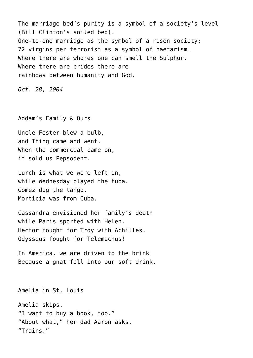The marriage bed's purity is a symbol of a society's level (Bill Clinton's soiled bed). One-to-one marriage as the symbol of a risen society: 72 virgins per terrorist as a symbol of haetarism. Where there are whores one can smell the Sulphur. Where there are brides there are rainbows between humanity and God.

*Oct. 28, 2004*

Addam's Family & Ours

Uncle Fester blew a bulb, and Thing came and went. When the commercial came on, it sold us Pepsodent.

Lurch is what we were left in, while Wednesday played the tuba. Gomez dug the tango, Morticia was from Cuba.

Cassandra envisioned her family's death while Paris sported with Helen. Hector fought for Troy with Achilles. Odysseus fought for Telemachus!

In America, we are driven to the brink Because a gnat fell into our soft drink.

Amelia in St. Louis Amelia skips. "I want to buy a book, too." "About what," her dad Aaron asks. "Trains."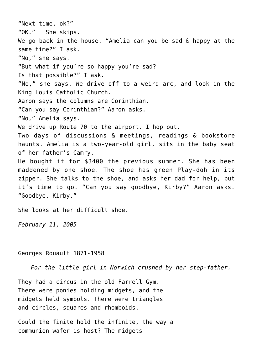"Next time, ok?" "OK." She skips. We go back in the house. "Amelia can you be sad & happy at the same time?" I ask. "No," she says. "But what if you're so happy you're sad? Is that possible?" I ask. "No," she says. We drive off to a weird arc, and look in the King Louis Catholic Church. Aaron says the columns are Corinthian. "Can you say Corinthian?" Aaron asks. "No," Amelia says. We drive up Route 70 to the airport. I hop out. Two days of discussions & meetings, readings & bookstore haunts. Amelia is a two-year-old girl, sits in the baby seat of her father's Camry. He bought it for \$3400 the previous summer. She has been maddened by one shoe. The shoe has green Play-doh in its zipper. She talks to the shoe, and asks her dad for help, but it's time to go. "Can you say goodbye, Kirby?" Aaron asks. "Goodbye, Kirby." She looks at her difficult shoe.

*February 11, 2005*

## Georges Rouault 1871-1958

*For the little girl in Norwich crushed by her step-father.*

They had a circus in the old Farrell Gym. There were ponies holding midgets, and the midgets held symbols. There were triangles and circles, squares and rhomboids.

Could the finite hold the infinite, the way a communion wafer is host? The midgets